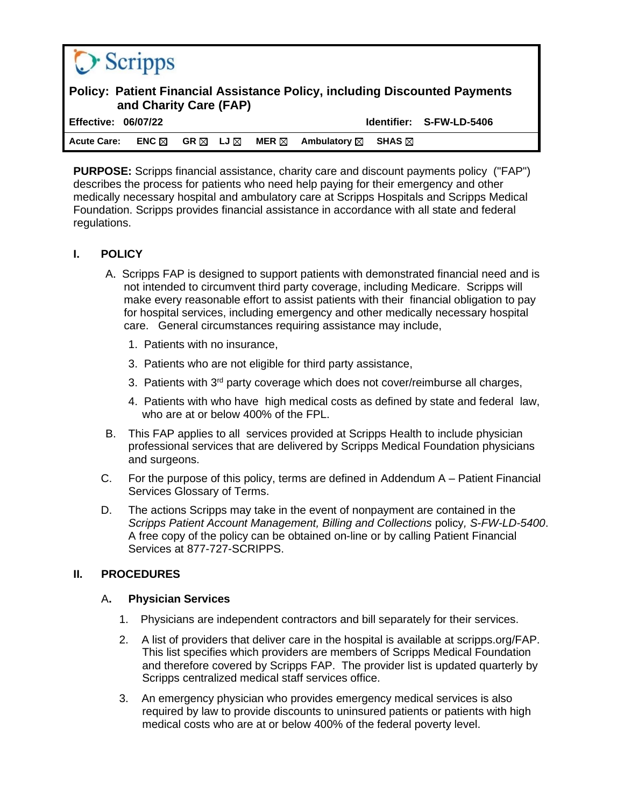| $\bigcirc$ Scripps                                                                                          |                 |      |                |                 |                        |                  |                          |
|-------------------------------------------------------------------------------------------------------------|-----------------|------|----------------|-----------------|------------------------|------------------|--------------------------|
| <b>Policy: Patient Financial Assistance Policy, including Discounted Payments</b><br>and Charity Care (FAP) |                 |      |                |                 |                        |                  |                          |
| <b>Effective: 06/07/22</b>                                                                                  |                 |      |                |                 |                        |                  | Identifier: S-FW-LD-5406 |
| <b>Acute Care:</b>                                                                                          | ENC $\boxtimes$ | GR ⊠ | LJ $\boxtimes$ | MER $\boxtimes$ | Ambulatory $\boxtimes$ | SHAS $\boxtimes$ |                          |

**PURPOSE:** Scripps financial assistance, charity care and discount payments policy ("FAP") describes the process for patients who need help paying for their emergency and other medically necessary hospital and ambulatory care at Scripps Hospitals and Scripps Medical Foundation. Scripps provides financial assistance in accordance with all state and federal regulations.

## **I. POLICY**

- A. Scripps FAP is designed to support patients with demonstrated financial need and is not intended to circumvent third party coverage, including Medicare. Scripps will make every reasonable effort to assist patients with their financial obligation to pay for hospital services, including emergency and other medically necessary hospital care. General circumstances requiring assistance may include,
	- 1. Patients with no insurance,
	- 3. Patients who are not eligible for third party assistance,
	- 3. Patients with  $3<sup>rd</sup>$  party coverage which does not cover/reimburse all charges,
	- 4. Patients with who have high medical costs as defined by state and federal law, who are at or below 400% of the FPL.
- B. This FAP applies to all services provided at Scripps Health to include physician professional services that are delivered by Scripps Medical Foundation physicians and surgeons.
- C. For the purpose of this policy, terms are defined in Addendum A Patient Financial Services Glossary of Terms.
- D. The actions Scripps may take in the event of nonpayment are contained in the *Scripps Patient Account Management, Billing and Collections* policy*, S-FW-LD-5400*. A free copy of the policy can be obtained on-line or by calling Patient Financial Services at 877-727-SCRIPPS.

## **II. PROCEDURES**

## A**. Physician Services**

- 1. Physicians are independent contractors and bill separately for their services.
- 2. A list of providers that deliver care in the hospital is available at scripps.org/FAP. This list specifies which providers are members of Scripps Medical Foundation and therefore covered by Scripps FAP. The provider list is updated quarterly by Scripps centralized medical staff services office.
- 3. An emergency physician who provides emergency medical services is also required by law to provide discounts to uninsured patients or patients with high medical costs who are at or below 400% of the federal poverty level.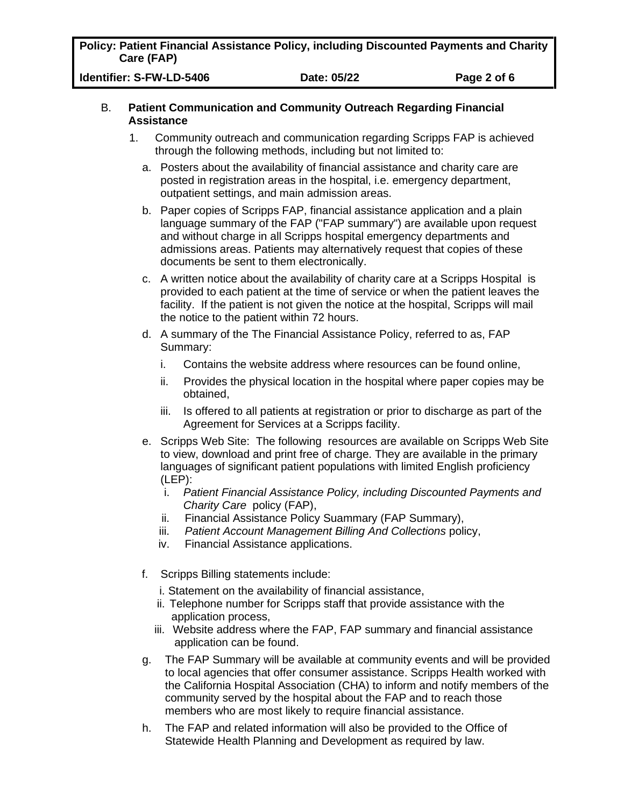**Policy: Patient Financial Assistance Policy, including Discounted Payments and Charity Care (FAP)**

**Identifier: S-FW-LD-5406 Date: 05/22 Page 2 of 6**

### B. **Patient Communication and Community Outreach Regarding Financial Assistance**

- 1. Community outreach and communication regarding Scripps FAP is achieved through the following methods, including but not limited to:
	- a. Posters about the availability of financial assistance and charity care are posted in registration areas in the hospital, i.e. emergency department, outpatient settings, and main admission areas.
	- b. Paper copies of Scripps FAP, financial assistance application and a plain language summary of the FAP ("FAP summary") are available upon request and without charge in all Scripps hospital emergency departments and admissions areas. Patients may alternatively request that copies of these documents be sent to them electronically.
	- c. A written notice about the availability of charity care at a Scripps Hospital is provided to each patient at the time of service or when the patient leaves the facility. If the patient is not given the notice at the hospital, Scripps will mail the notice to the patient within 72 hours.
	- d. A summary of the The Financial Assistance Policy, referred to as, FAP Summary:
		- i. Contains the website address where resources can be found online,
		- ii. Provides the physical location in the hospital where paper copies may be obtained,
		- iii. Is offered to all patients at registration or prior to discharge as part of the Agreement for Services at a Scripps facility.
	- e. Scripps Web Site: The following resources are available on Scripps Web Site to view, download and print free of charge. They are available in the primary languages of significant patient populations with limited English proficiency (LEP):
		- i. *Patient Financial Assistance Policy, including Discounted Payments and Charity Care* policy (FAP),
		- ii. Financial Assistance Policy Suammary (FAP Summary),
		- iii. *Patient Account Management Billing And Collections* policy,
		- iv. Financial Assistance applications.
	- f. Scripps Billing statements include:
		- i. Statement on the availability of financial assistance,
		- ii. Telephone number for Scripps staff that provide assistance with the application process,
		- iii. Website address where the FAP, FAP summary and financial assistance application can be found.
	- g. The FAP Summary will be available at community events and will be provided to local agencies that offer consumer assistance. Scripps Health worked with the California Hospital Association (CHA) to inform and notify members of the community served by the hospital about the FAP and to reach those members who are most likely to require financial assistance.
	- h. The FAP and related information will also be provided to the Office of Statewide Health Planning and Development as required by law.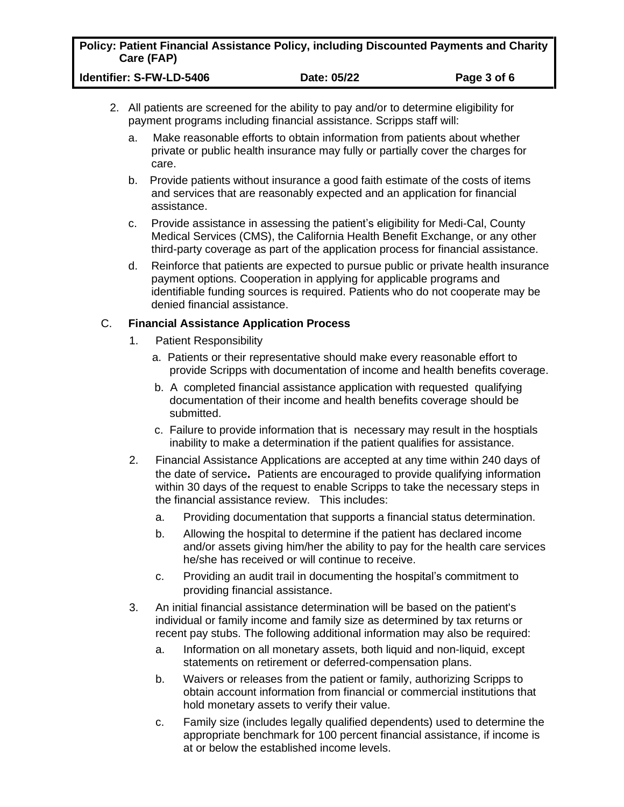|            | Policy: Patient Financial Assistance Policy, including Discounted Payments and Charity |
|------------|----------------------------------------------------------------------------------------|
| Care (FAP) |                                                                                        |

| Identifier: S-FW-LD-5406 | Date: 05/22 | Page 3 of 6 |
|--------------------------|-------------|-------------|
|--------------------------|-------------|-------------|

- 2. All patients are screened for the ability to pay and/or to determine eligibility for payment programs including financial assistance. Scripps staff will:
	- a. Make reasonable efforts to obtain information from patients about whether private or public health insurance may fully or partially cover the charges for care.
	- b. Provide patients without insurance a good faith estimate of the costs of items and services that are reasonably expected and an application for financial assistance.
	- c. Provide assistance in assessing the patient's eligibility for Medi-Cal, County Medical Services (CMS), the California Health Benefit Exchange, or any other third-party coverage as part of the application process for financial assistance.
	- d. Reinforce that patients are expected to pursue public or private health insurance payment options. Cooperation in applying for applicable programs and identifiable funding sources is required. Patients who do not cooperate may be denied financial assistance.

## C. **Financial Assistance Application Process**

- 1. Patient Responsibility
	- a. Patients or their representative should make every reasonable effort to provide Scripps with documentation of income and health benefits coverage.
	- b. A completed financial assistance application with requested qualifying documentation of their income and health benefits coverage should be submitted.
	- c. Failure to provide information that is necessary may result in the hosptials inability to make a determination if the patient qualifies for assistance.
- 2. Financial Assistance Applications are accepted at any time within 240 days of the date of service**.** Patients are encouraged to provide qualifying information within 30 days of the request to enable Scripps to take the necessary steps in the financial assistance review. This includes:
	- a. Providing documentation that supports a financial status determination.
	- b. Allowing the hospital to determine if the patient has declared income and/or assets giving him/her the ability to pay for the health care services he/she has received or will continue to receive.
	- c. Providing an audit trail in documenting the hospital's commitment to providing financial assistance.
- 3. An initial financial assistance determination will be based on the patient's individual or family income and family size as determined by tax returns or recent pay stubs. The following additional information may also be required:
	- a. Information on all monetary assets, both liquid and non-liquid, except statements on retirement or deferred-compensation plans.
	- b. Waivers or releases from the patient or family, authorizing Scripps to obtain account information from financial or commercial institutions that hold monetary assets to verify their value.
	- c. Family size (includes legally qualified dependents) used to determine the appropriate benchmark for 100 percent financial assistance, if income is at or below the established income levels.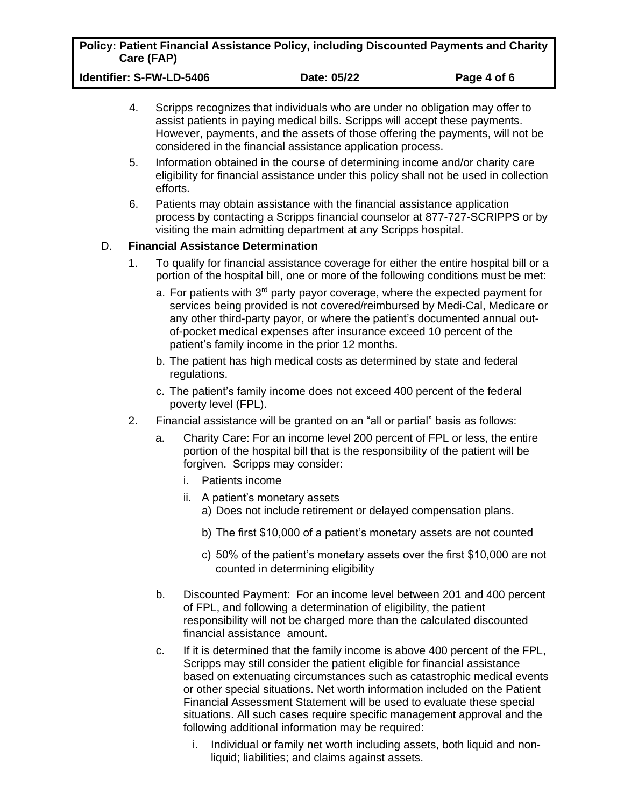|            | Policy: Patient Financial Assistance Policy, including Discounted Payments and Charity |
|------------|----------------------------------------------------------------------------------------|
| Care (FAP) |                                                                                        |

| Identifier: S-FW-LD-5406 | Date: 05/22 | Page 4 of 6 |
|--------------------------|-------------|-------------|
|--------------------------|-------------|-------------|

- 4. Scripps recognizes that individuals who are under no obligation may offer to assist patients in paying medical bills. Scripps will accept these payments. However, payments, and the assets of those offering the payments, will not be considered in the financial assistance application process.
- 5. Information obtained in the course of determining income and/or charity care eligibility for financial assistance under this policy shall not be used in collection efforts.
- 6. Patients may obtain assistance with the financial assistance application process by contacting a Scripps financial counselor at 877-727-SCRIPPS or by visiting the main admitting department at any Scripps hospital.

## D. **Financial Assistance Determination**

- 1. To qualify for financial assistance coverage for either the entire hospital bill or a portion of the hospital bill, one or more of the following conditions must be met:
	- a. For patients with 3<sup>rd</sup> party payor coverage, where the expected payment for services being provided is not covered/reimbursed by Medi-Cal, Medicare or any other third-party payor, or where the patient's documented annual outof-pocket medical expenses after insurance exceed 10 percent of the patient's family income in the prior 12 months.
	- b. The patient has high medical costs as determined by state and federal regulations.
	- c. The patient's family income does not exceed 400 percent of the federal poverty level (FPL).
- 2. Financial assistance will be granted on an "all or partial" basis as follows:
	- a. Charity Care: For an income level 200 percent of FPL or less, the entire portion of the hospital bill that is the responsibility of the patient will be forgiven. Scripps may consider:
		- i. Patients income
		- ii. A patient's monetary assets
			- a) Does not include retirement or delayed compensation plans.
			- b) The first \$10,000 of a patient's monetary assets are not counted
			- c) 50% of the patient's monetary assets over the first \$10,000 are not counted in determining eligibility
	- b. Discounted Payment: For an income level between 201 and 400 percent of FPL, and following a determination of eligibility, the patient responsibility will not be charged more than the calculated discounted financial assistance amount.
	- c. If it is determined that the family income is above 400 percent of the FPL, Scripps may still consider the patient eligible for financial assistance based on extenuating circumstances such as catastrophic medical events or other special situations. Net worth information included on the Patient Financial Assessment Statement will be used to evaluate these special situations. All such cases require specific management approval and the following additional information may be required:
		- i. Individual or family net worth including assets, both liquid and nonliquid; liabilities; and claims against assets.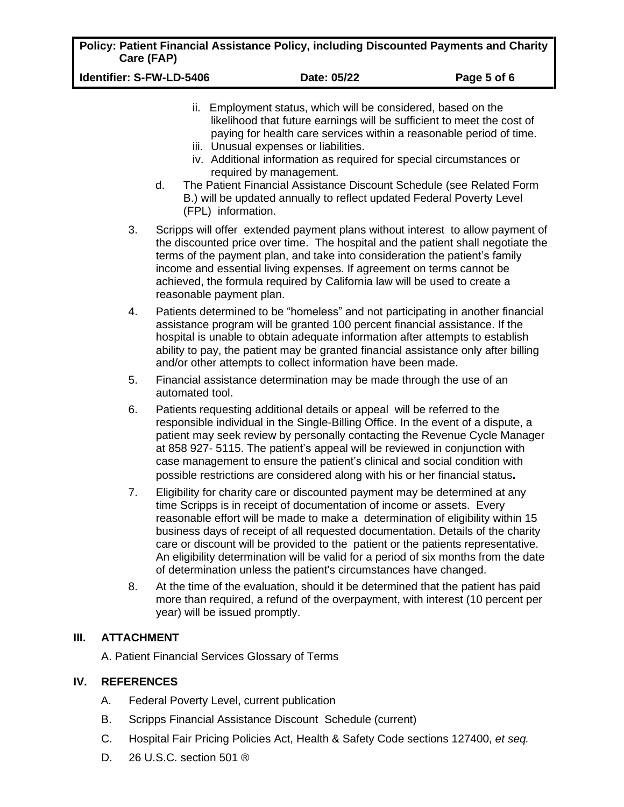|            | Policy: Patient Financial Assistance Policy, including Discounted Payments and Charity |
|------------|----------------------------------------------------------------------------------------|
| Care (FAP) |                                                                                        |

**Identifier: S-FW-LD-5406 Date: 05/22 Page 5 of 6**

- ii. Employment status, which will be considered, based on the likelihood that future earnings will be sufficient to meet the cost of paying for health care services within a reasonable period of time.
- iii. Unusual expenses or liabilities.
- iv. Additional information as required for special circumstances or required by management.
- d. The Patient Financial Assistance Discount Schedule (see Related Form B.) will be updated annually to reflect updated Federal Poverty Level (FPL) information.
- 3. Scripps will offer extended payment plans without interest to allow payment of the discounted price over time. The hospital and the patient shall negotiate the terms of the payment plan, and take into consideration the patient's family income and essential living expenses. If agreement on terms cannot be achieved, the formula required by California law will be used to create a reasonable payment plan.
- 4. Patients determined to be "homeless" and not participating in another financial assistance program will be granted 100 percent financial assistance. If the hospital is unable to obtain adequate information after attempts to establish ability to pay, the patient may be granted financial assistance only after billing and/or other attempts to collect information have been made.
- 5. Financial assistance determination may be made through the use of an automated tool.
- 6. Patients requesting additional details or appeal will be referred to the responsible individual in the Single-Billing Office. In the event of a dispute, a patient may seek review by personally contacting the Revenue Cycle Manager at 858 927- 5115. The patient's appeal will be reviewed in conjunction with case management to ensure the patient's clinical and social condition with possible restrictions are considered along with his or her financial status**.**
- 7. Eligibility for charity care or discounted payment may be determined at any time Scripps is in receipt of documentation of income or assets. Every reasonable effort will be made to make a determination of eligibility within 15 business days of receipt of all requested documentation. Details of the charity care or discount will be provided to the patient or the patients representative. An eligibility determination will be valid for a period of six months from the date of determination unless the patient's circumstances have changed.
- 8. At the time of the evaluation, should it be determined that the patient has paid more than required, a refund of the overpayment, with interest (10 percent per year) will be issued promptly.

# **III. ATTACHMENT**

A. Patient Financial Services Glossary of Terms

# **IV. REFERENCES**

- A. Federal Poverty Level, current publication
- B. Scripps Financial Assistance Discount Schedule (current)
- C. Hospital Fair Pricing Policies Act, Health & Safety Code sections 127400, *et seq.*
- D. 26 U.S.C. section 501 ®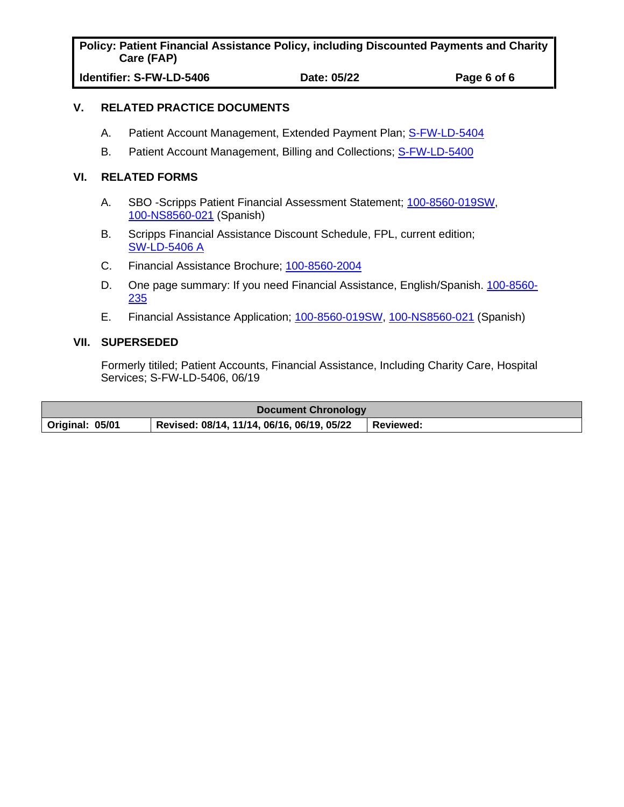**Policy: Patient Financial Assistance Policy, including Discounted Payments and Charity Care (FAP)**

**Identifier: S-FW-LD-5406 Date: 05/22 Page 6 of 6**

#### **V. RELATED PRACTICE DOCUMENTS**

- A. Patient Account Management, Extended Payment Plan; [S-FW-LD-5404](https://scripps.policymedical.net/policymed/anonymous/docViewer?stoken=53fec0f9-2c4e-4ec8-af50-9abe8339cbaa&dtoken=b968cb9c-50cf-42f9-8779-9e37adbf08ab)
- B. Patient Account Management, Billing and Collections; [S-FW-LD-5400](https://scripps.policymedical.net/policymed/anonymous/docViewer?stoken=53fec0f9-2c4e-4ec8-af50-9abe8339cbaa&dtoken=9b98ae26-ee3e-478a-b6b8-65e2b5d3a242)

### **VI. RELATED FORMS**

- A. SBO -Scripps Patient Financial Assessment Statement; [100-8560-019SW,](https://scripps.policymedical.net/policymed/anonymous/docViewer?stoken=53fec0f9-2c4e-4ec8-af50-9abe8339cbaa&dtoken=b4089c2d-5c0d-4006-b0a9-7ff122435caf) [100-NS8560-021](https://scripps.policymedical.net/policymed/anonymous/docViewer?stoken=53fec0f9-2c4e-4ec8-af50-9abe8339cbaa&dtoken=ac312b51-1451-4b23-82b5-52aa17f61b5c) (Spanish)
- B. Scripps Financial Assistance Discount Schedule, FPL, current edition; [SW-LD-5406 A](https://scripps.policymedical.net/policymed/anonymous/docViewer?stoken=53fec0f9-2c4e-4ec8-af50-9abe8339cbaa&dtoken=3bca2c7b-24eb-49a7-a87e-2899830bec34)
- C. Financial Assistance Brochure; [100-8560-2004](https://scripps.policymedical.net/policymed/anonymous/docViewer?stoken=53fec0f9-2c4e-4ec8-af50-9abe8339cbaa&dtoken=5f780fe6-698c-4787-af99-a5a873f5eda8)
- D. One page summary: If you need Financial Assistance, English/Spanish. [100-8560-](https://scripps.policymedical.net/policymed/anonymous/docViewer?stoken=53fec0f9-2c4e-4ec8-af50-9abe8339cbaa&dtoken=bb3a47ab-b356-4a87-aa69-135b57a39a57) [235](https://scripps.policymedical.net/policymed/anonymous/docViewer?stoken=53fec0f9-2c4e-4ec8-af50-9abe8339cbaa&dtoken=bb3a47ab-b356-4a87-aa69-135b57a39a57)
- E. Financial Assistance Application; [100-8560-019SW,](https://scripps.policymedical.net/policymed/anonymous/docViewer?stoken=53fec0f9-2c4e-4ec8-af50-9abe8339cbaa&dtoken=b4089c2d-5c0d-4006-b0a9-7ff122435caf) [100-NS8560-021](https://scripps.policymedical.net/policymed/anonymous/docViewer?stoken=53fec0f9-2c4e-4ec8-af50-9abe8339cbaa&dtoken=ac312b51-1451-4b23-82b5-52aa17f61b5c) (Spanish)

### **VII. SUPERSEDED**

Formerly titiled; Patient Accounts, Financial Assistance, Including Charity Care, Hospital Services; S-FW-LD-5406, 06/19

| <b>Document Chronology</b> |                                            |                  |
|----------------------------|--------------------------------------------|------------------|
| Original: 05/01            | Revised: 08/14, 11/14, 06/16, 06/19, 05/22 | <b>Reviewed:</b> |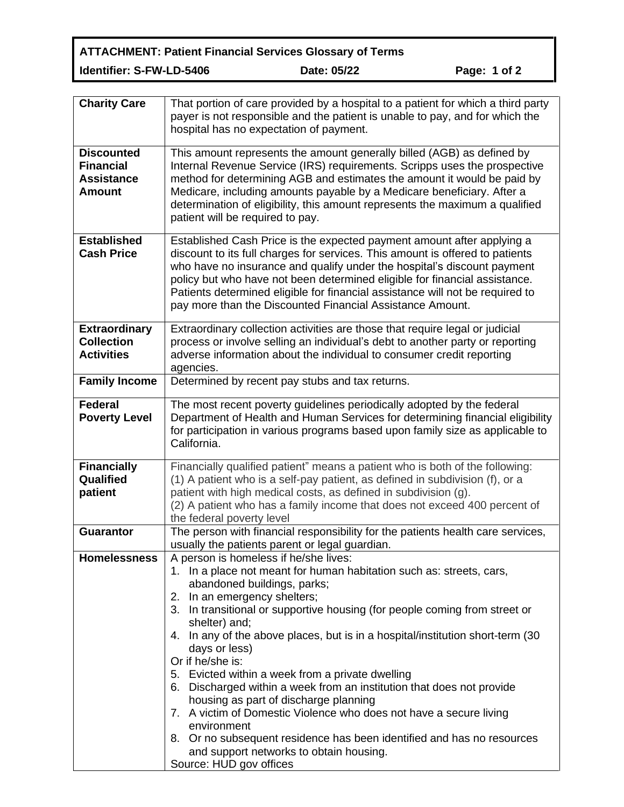**ATTACHMENT: Patient Financial Services Glossary of Terms Identifier: S-FW-LD-5406 Date: 05/22 Page: 1 of 2**

| <b>Charity Care</b>                                                         | That portion of care provided by a hospital to a patient for which a third party<br>payer is not responsible and the patient is unable to pay, and for which the<br>hospital has no expectation of payment.                                                                                                                                                                                                                                                                                                                                                                                                                                                                                                                                                                                                   |
|-----------------------------------------------------------------------------|---------------------------------------------------------------------------------------------------------------------------------------------------------------------------------------------------------------------------------------------------------------------------------------------------------------------------------------------------------------------------------------------------------------------------------------------------------------------------------------------------------------------------------------------------------------------------------------------------------------------------------------------------------------------------------------------------------------------------------------------------------------------------------------------------------------|
| <b>Discounted</b><br><b>Financial</b><br><b>Assistance</b><br><b>Amount</b> | This amount represents the amount generally billed (AGB) as defined by<br>Internal Revenue Service (IRS) requirements. Scripps uses the prospective<br>method for determining AGB and estimates the amount it would be paid by<br>Medicare, including amounts payable by a Medicare beneficiary. After a<br>determination of eligibility, this amount represents the maximum a qualified<br>patient will be required to pay.                                                                                                                                                                                                                                                                                                                                                                                  |
| <b>Established</b><br><b>Cash Price</b>                                     | Established Cash Price is the expected payment amount after applying a<br>discount to its full charges for services. This amount is offered to patients<br>who have no insurance and qualify under the hospital's discount payment<br>policy but who have not been determined eligible for financial assistance.<br>Patients determined eligible for financial assistance will not be required to<br>pay more than the Discounted Financial Assistance Amount.                                                                                                                                                                                                                                                                                                                                                |
| <b>Extraordinary</b><br><b>Collection</b><br><b>Activities</b>              | Extraordinary collection activities are those that require legal or judicial<br>process or involve selling an individual's debt to another party or reporting<br>adverse information about the individual to consumer credit reporting<br>agencies.                                                                                                                                                                                                                                                                                                                                                                                                                                                                                                                                                           |
| <b>Family Income</b>                                                        | Determined by recent pay stubs and tax returns.                                                                                                                                                                                                                                                                                                                                                                                                                                                                                                                                                                                                                                                                                                                                                               |
| <b>Federal</b><br><b>Poverty Level</b>                                      | The most recent poverty guidelines periodically adopted by the federal<br>Department of Health and Human Services for determining financial eligibility<br>for participation in various programs based upon family size as applicable to<br>California.                                                                                                                                                                                                                                                                                                                                                                                                                                                                                                                                                       |
| <b>Financially</b><br>Qualified<br>patient                                  | Financially qualified patient" means a patient who is both of the following:<br>(1) A patient who is a self-pay patient, as defined in subdivision (f), or a<br>patient with high medical costs, as defined in subdivision (g).<br>(2) A patient who has a family income that does not exceed 400 percent of<br>the federal poverty level                                                                                                                                                                                                                                                                                                                                                                                                                                                                     |
| <b>Guarantor</b>                                                            | The person with financial responsibility for the patients health care services,<br>usually the patients parent or legal guardian.                                                                                                                                                                                                                                                                                                                                                                                                                                                                                                                                                                                                                                                                             |
| <b>Homelessness</b>                                                         | A person is homeless if he/she lives:<br>1. In a place not meant for human habitation such as: streets, cars,<br>abandoned buildings, parks;<br>2. In an emergency shelters;<br>3. In transitional or supportive housing (for people coming from street or<br>shelter) and;<br>4. In any of the above places, but is in a hospital/institution short-term (30<br>days or less)<br>Or if he/she is:<br>5. Evicted within a week from a private dwelling<br>6. Discharged within a week from an institution that does not provide<br>housing as part of discharge planning<br>7. A victim of Domestic Violence who does not have a secure living<br>environment<br>8. Or no subsequent residence has been identified and has no resources<br>and support networks to obtain housing.<br>Source: HUD gov offices |